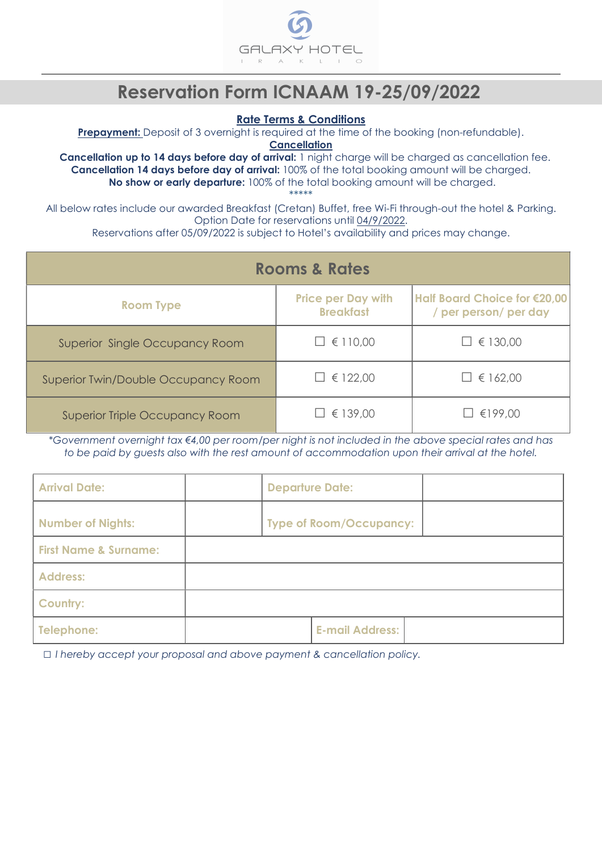

# Reservation Form ICNAAM 19-25/09/2022

#### Rate Terms & Conditions

**Prepayment:** Deposit of 3 overnight is required at the time of the booking (non-refundable).

**Cancellation** 

Cancellation up to 14 days before day of arrival: 1 night charge will be charged as cancellation fee. Cancellation 14 days before day of arrival: 100% of the total booking amount will be charged. No show or early departure: 100% of the total booking amount will be charged.

\*\*\*\*\*

All below rates include our awarded Breakfast (Cretan) Buffet, free Wi-Fi through-out the hotel & Parking. Option Date for reservations until 04/9/2022.

Reservations after 05/09/2022 is subject to Hotel's availability and prices may change.

|                                       | <b>Rooms &amp; Rates</b>                      |                                                       |
|---------------------------------------|-----------------------------------------------|-------------------------------------------------------|
| <b>Room Type</b>                      | <b>Price per Day with</b><br><b>Breakfast</b> | Half Board Choice for €20,00<br>/ per person/ per day |
| <b>Superior Single Occupancy Room</b> | $\Box \in 110,00$                             | $\Box \in 130,00$                                     |
| Superior Twin/Double Occupancy Room   | $\Box \in 122,00$                             | $\Box \in 162,00$                                     |
| <b>Superior Triple Occupancy Room</b> | $\Box \in 139,00$                             | €199,00                                               |

\*Government overnight tax €4,00 per room/per night is not included in the above special rates and has to be paid by guests also with the rest amount of accommodation upon their arrival at the hotel.

| <b>Arrival Date:</b>             | <b>Departure Date:</b> |                                |  |
|----------------------------------|------------------------|--------------------------------|--|
| <b>Number of Nights:</b>         |                        | <b>Type of Room/Occupancy:</b> |  |
| <b>First Name &amp; Surname:</b> |                        |                                |  |
| <b>Address:</b>                  |                        |                                |  |
| <b>Country:</b>                  |                        |                                |  |
| Telephone:                       |                        | <b>E-mail Address:</b>         |  |

□ I hereby accept your proposal and above payment & cancellation policy.